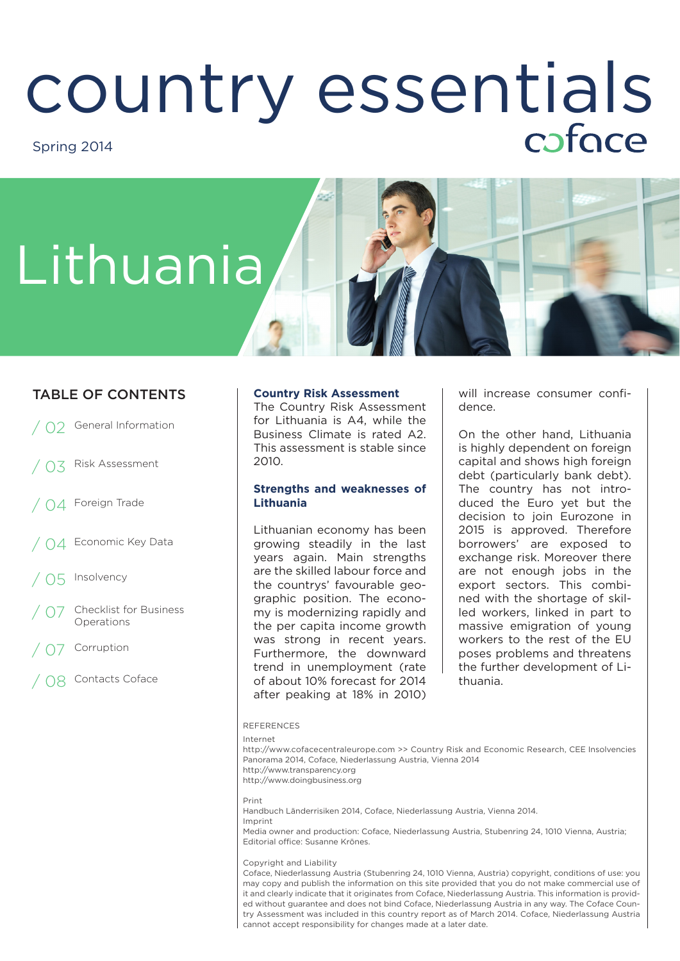## COUNTry essentials Spring 2014

# Lithuania

#### TABLE OF CONTENTS **Country Risk Assessment**

- 02 General Information
- Risk Assessment
- $\bigcap A$  Foreign Trade
- Economic Key Data
- / 05 Insolvency
- **Checklist for Business** Operations
- **Corruption**
- / 08 Contacts Coface

The Country Risk Assessment for Lithuania is A4, while the Business Climate is rated A2. This assessment is stable since 2010.

#### **Strengths and weaknesses of Lithuania**

Lithuanian economy has been growing steadily in the last years again. Main strengths are the skilled labour force and the countrys' favourable geographic position. The economy is modernizing rapidly and the per capita income growth was strong in recent years. Furthermore, the downward trend in unemployment (rate of about 10% forecast for 2014 after peaking at 18% in 2010)

will increase consumer confidence.

On the other hand, Lithuania is highly dependent on foreign capital and shows high foreign debt (particularly bank debt). The country has not introduced the Euro yet but the decision to join Eurozone in 2015 is approved. Therefore borrowers' are exposed to exchange risk. Moreover there are not enough jobs in the export sectors. This combined with the shortage of skilled workers, linked in part to massive emigration of young workers to the rest of the EU poses problems and threatens the further development of Lithuania.

#### REFERENCES

Internet

http://www.cofacecentraleurope.com >> Country Risk and Economic Research, CEE Insolvencies Panorama 2014, Coface, Niederlassung Austria, Vienna 2014 http://www.transparency.org http://www.doingbusiness.org

Print Handbuch Länderrisiken 2014, Coface, Niederlassung Austria, Vienna 2014. Imprint

Media owner and production: Coface, Niederlassung Austria, Stubenring 24, 1010 Vienna, Austria; Editorial office: Susanne Krönes.

Copyright and Liability

Coface, Niederlassung Austria (Stubenring 24, 1010 Vienna, Austria) copyright, conditions of use: you may copy and publish the information on this site provided that you do not make commercial use of it and clearly indicate that it originates from Coface, Niederlassung Austria. This information is provided without guarantee and does not bind Coface, Niederlassung Austria in any way. The Coface Country Assessment was included in this country report as of March 2014. Coface, Niederlassung Austria cannot accept responsibility for changes made at a later date.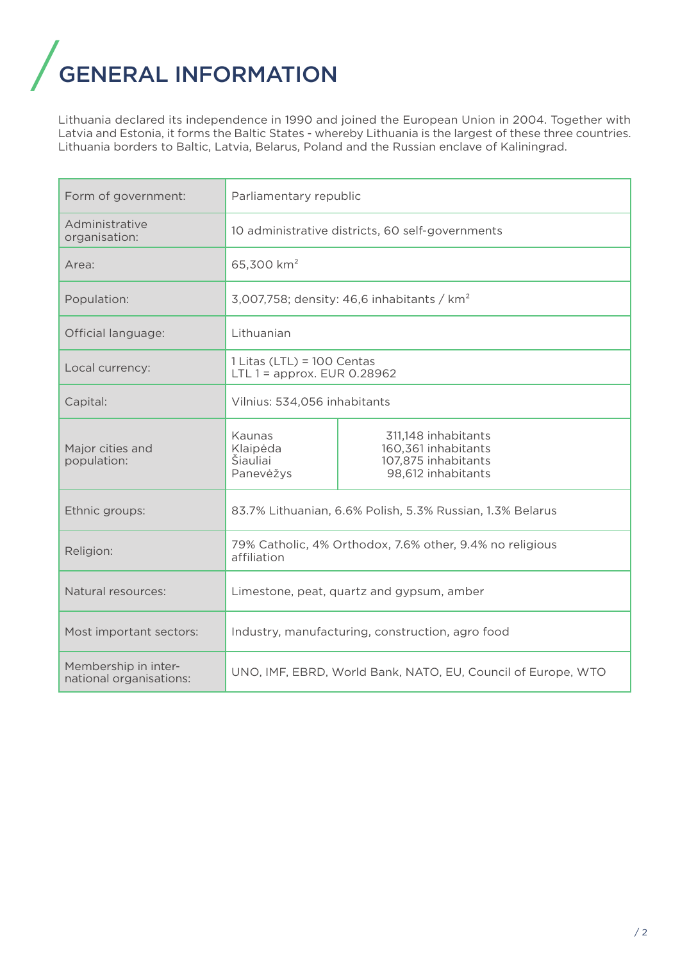## **GENERAL INFORMATION**

Lithuania declared its independence in 1990 and joined the European Union in 2004. Together with Latvia and Estonia, it forms the Baltic States - whereby Lithuania is the largest of these three countries. Lithuania borders to Baltic, Latvia, Belarus, Poland and the Russian enclave of Kaliningrad.

| Form of government:                             | Parliamentary republic                                                  |                                                                                         |  |
|-------------------------------------------------|-------------------------------------------------------------------------|-----------------------------------------------------------------------------------------|--|
| Administrative<br>organisation:                 | 10 administrative districts, 60 self-governments                        |                                                                                         |  |
| Area:                                           | 65,300 km <sup>2</sup>                                                  |                                                                                         |  |
| Population:                                     | 3,007,758; density: 46,6 inhabitants / $km2$                            |                                                                                         |  |
| Official language:                              | Lithuanian                                                              |                                                                                         |  |
| Local currency:                                 | $1$ Litas (LTL) = $100$ Centas<br>LTL $1 =$ approx. EUR 0.28962         |                                                                                         |  |
| Capital:                                        | Vilnius: 534,056 inhabitants                                            |                                                                                         |  |
| Major cities and<br>population:                 | Kaunas<br>Klaipėda<br>Šiauliai<br>Panevėžys                             | 311,148 inhabitants<br>160,361 inhabitants<br>107,875 inhabitants<br>98,612 inhabitants |  |
| Ethnic groups:                                  | 83.7% Lithuanian, 6.6% Polish, 5.3% Russian, 1.3% Belarus               |                                                                                         |  |
| Religion:                                       | 79% Catholic, 4% Orthodox, 7.6% other, 9.4% no religious<br>affiliation |                                                                                         |  |
| Natural resources:                              | Limestone, peat, quartz and gypsum, amber                               |                                                                                         |  |
| Most important sectors:                         | Industry, manufacturing, construction, agro food                        |                                                                                         |  |
| Membership in inter-<br>national organisations: | UNO, IMF, EBRD, World Bank, NATO, EU, Council of Europe, WTO            |                                                                                         |  |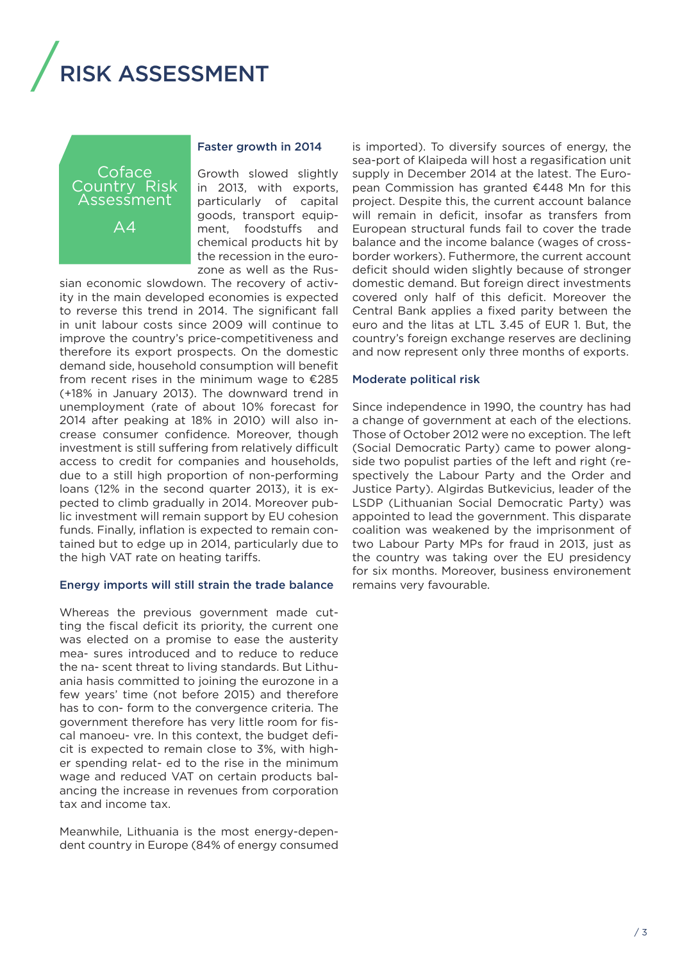## / **SK ASSESSMENT**

Coface Country Risk Assessment

 $\Delta$ 4

#### Faster growth in 2014

Growth slowed slightly in 2013, with exports, particularly of capital goods, transport equipment, foodstuffs and chemical products hit by the recession in the eurozone as well as the Rus-

sian economic slowdown. The recovery of activity in the main developed economies is expected to reverse this trend in 2014. The significant fall in unit labour costs since 2009 will continue to improve the country's price-competitiveness and therefore its export prospects. On the domestic demand side, household consumption will benefit from recent rises in the minimum wage to  $\epsilon$ 285 (+18% in January 2013). The downward trend in unemployment (rate of about 10% forecast for 2014 after peaking at 18% in 2010) will also increase consumer confidence. Moreover, though investment is still suffering from relatively difficult access to credit for companies and households, due to a still high proportion of non-performing loans (12% in the second quarter 2013), it is expected to climb gradually in 2014. Moreover public investment will remain support by EU cohesion funds. Finally, inflation is expected to remain contained but to edge up in 2014, particularly due to the high VAT rate on heating tariffs.

#### Energy imports will still strain the trade balance

Whereas the previous government made cutting the fiscal deficit its priority, the current one was elected on a promise to ease the austerity mea- sures introduced and to reduce to reduce the na- scent threat to living standards. But Lithuania hasis committed to joining the eurozone in a few years' time (not before 2015) and therefore has to con- form to the convergence criteria. The government therefore has very little room for fiscal manoeu- vre. In this context, the budget deficit is expected to remain close to 3%, with higher spending relat- ed to the rise in the minimum wage and reduced VAT on certain products balancing the increase in revenues from corporation tax and income tax.

Meanwhile, Lithuania is the most energy-dependent country in Europe (84% of energy consumed is imported). To diversify sources of energy, the sea-port of Klaipeda will host a regasification unit supply in December 2014 at the latest. The European Commission has granted €448 Mn for this project. Despite this, the current account balance will remain in deficit, insofar as transfers from European structural funds fail to cover the trade balance and the income balance (wages of crossborder workers). Futhermore, the current account deficit should widen slightly because of stronger domestic demand. But foreign direct investments covered only half of this deficit. Moreover the Central Bank applies a fixed parity between the euro and the litas at LTL 3.45 of EUR 1. But, the country's foreign exchange reserves are declining and now represent only three months of exports.

#### Moderate political risk

Since independence in 1990, the country has had a change of government at each of the elections. Those of October 2012 were no exception. The left (Social Democratic Party) came to power alongside two populist parties of the left and right (respectively the Labour Party and the Order and Justice Party). Algirdas Butkevicius, leader of the LSDP (Lithuanian Social Democratic Party) was appointed to lead the government. This disparate coalition was weakened by the imprisonment of two Labour Party MPs for fraud in 2013, just as the country was taking over the EU presidency for six months. Moreover, business environement remains very favourable.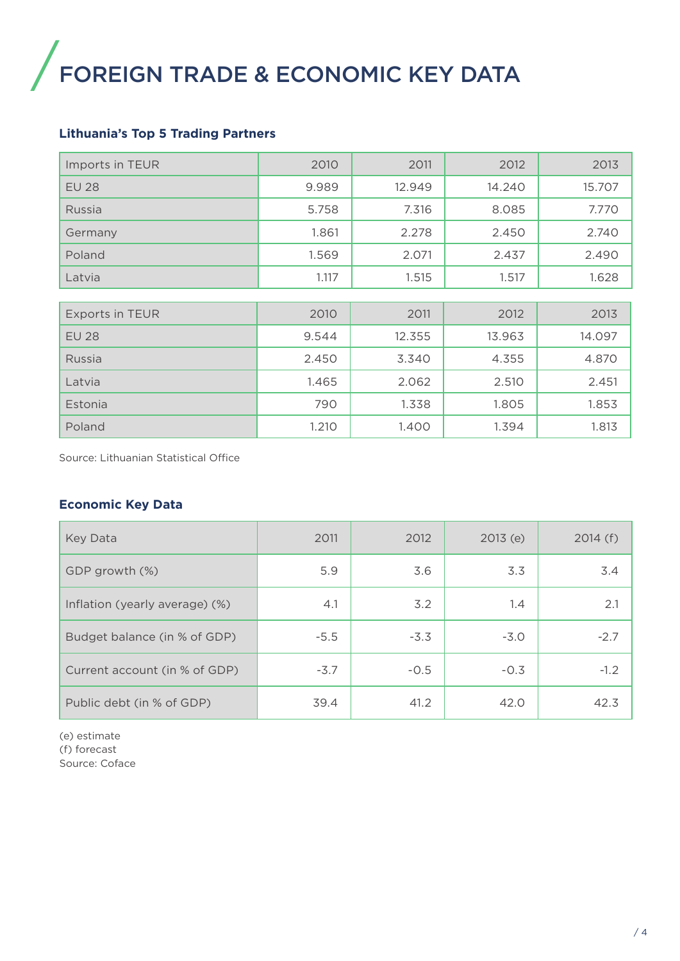### / FOREIGN TRADE & ECONOMIC KEY DATA

#### **Lithuania's Top 5 Trading Partners**

| Imports in TEUR        | 2010  | 2011   | 2012   | 2013   |
|------------------------|-------|--------|--------|--------|
| <b>EU 28</b>           | 9.989 | 12.949 | 14.240 | 15.707 |
| Russia                 | 5.758 | 7.316  | 8.085  | 7.770  |
| Germany                | 1.861 | 2.278  | 2.450  | 2.740  |
| Poland                 | 1.569 | 2.071  | 2.437  | 2.490  |
| Latvia                 | 1.117 | 1.515  | 1.517  | 1.628  |
|                        |       |        |        |        |
| <b>Exports in TEUR</b> | 2010  | 2011   | 2012   | 2013   |
| <b>EU 28</b>           | 9.544 | 12.355 | 13.963 | 14.097 |
| Russia                 | 2.450 | 3.340  | 4.355  | 4.870  |
| Latvia                 | 1.465 | 2.062  | 2.510  | 2.451  |
| Estonia                | 790   | 1.338  | 1.805  | 1.853  |
| Poland                 | 1.210 | 1.400  | 1.394  | 1.813  |

Source: Lithuanian Statistical Office

#### **Economic Key Data**

| Key Data                       | 2011   | 2012   | 2013(e) | 2014(f) |
|--------------------------------|--------|--------|---------|---------|
| GDP growth (%)                 | 5.9    | 3.6    | 3.3     | 3.4     |
| Inflation (yearly average) (%) | 4.1    | 3.2    | 1.4     | 2.1     |
| Budget balance (in % of GDP)   | $-5.5$ | $-3.3$ | $-3.0$  | $-2.7$  |
| Current account (in % of GDP)  | $-3.7$ | $-0.5$ | $-0.3$  | $-1.2$  |
| Public debt (in % of GDP)      | 39.4   | 41.2   | 42.0    | 42.3    |

(e) estimate (f) forecast Source: Coface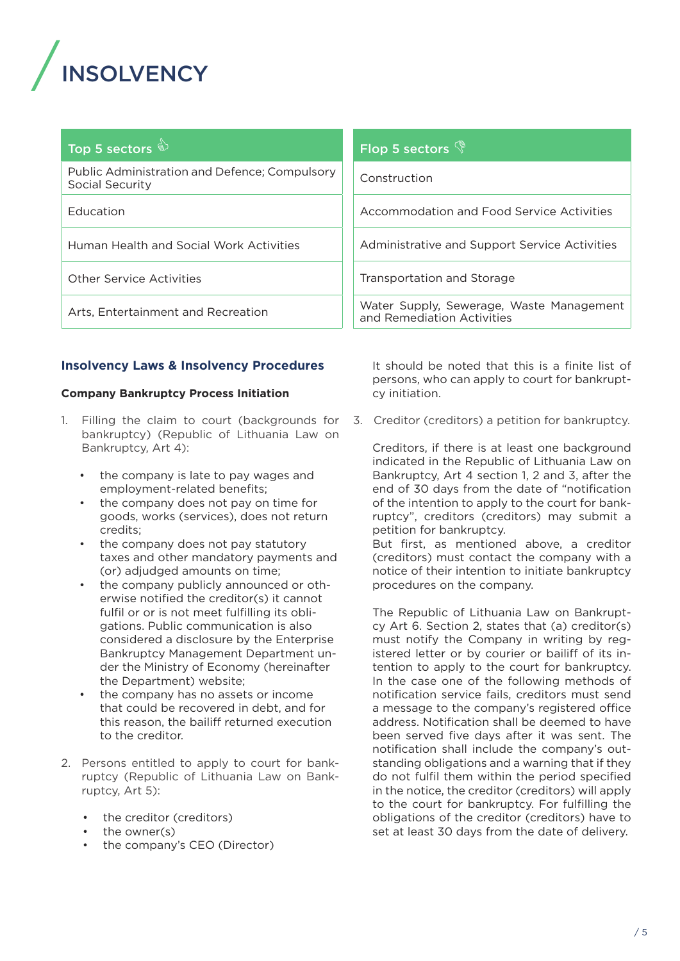

### Top 5 sectors

Public Administration and Defence; Compulsory Social Security

Education

Human Health and Social Work Activities

Other Service Activities

Arts, Entertainment and Recreation

#### **Insolvency Laws & Insolvency Procedures**

#### **Company Bankruptcy Process Initiation**

- 1. Filling the claim to court (backgrounds for bankruptcy) (Republic of Lithuania Law on Bankruptcy, Art 4):
	- the company is late to pay wages and employment-related benefits;
	- the company does not pay on time for goods, works (services), does not return credits;
	- the company does not pay statutory taxes and other mandatory payments and (or) adjudged amounts on time;
	- the company publicly announced or otherwise notified the creditor(s) it cannot fulfil or or is not meet fulfilling its obligations. Public communication is also considered a disclosure by the Enterprise Bankruptcy Management Department under the Ministry of Economy (hereinafter the Department) website;
	- the company has no assets or income that could be recovered in debt, and for this reason, the bailiff returned execution to the creditor.
- 2. Persons entitled to apply to court for bankruptcy (Republic of Lithuania Law on Bankruptcy, Art 5):
	- the creditor (creditors)
	- the owner(s)
	- the company's CEO (Director)

#### Flop 5 sectors  $\mathbb{\hat{S}}$

Construction

Accommodation and Food Service Activities

Administrative and Support Service Activities

Transportation and Storage

Water Supply, Sewerage, Waste Management and Remediation Activities

It should be noted that this is a finite list of persons, who can apply to court for bankruptcy initiation.

3. Creditor (creditors) a petition for bankruptcy.

Creditors, if there is at least one background indicated in the Republic of Lithuania Law on Bankruptcy, Art 4 section 1, 2 and 3, after the end of 30 days from the date of "notification of the intention to apply to the court for bankruptcy", creditors (creditors) may submit a petition for bankruptcy.

But first, as mentioned above, a creditor (creditors) must contact the company with a notice of their intention to initiate bankruptcy procedures on the company.

The Republic of Lithuania Law on Bankruptcy Art 6. Section 2, states that (a) creditor(s) must notify the Company in writing by registered letter or by courier or bailiff of its intention to apply to the court for bankruptcy. In the case one of the following methods of notification service fails, creditors must send a message to the company's registered office address. Notification shall be deemed to have been served five days after it was sent. The notification shall include the company's outstanding obligations and a warning that if they do not fulfil them within the period specified in the notice, the creditor (creditors) will apply to the court for bankruptcy. For fulfilling the obligations of the creditor (creditors) have to set at least 30 days from the date of delivery.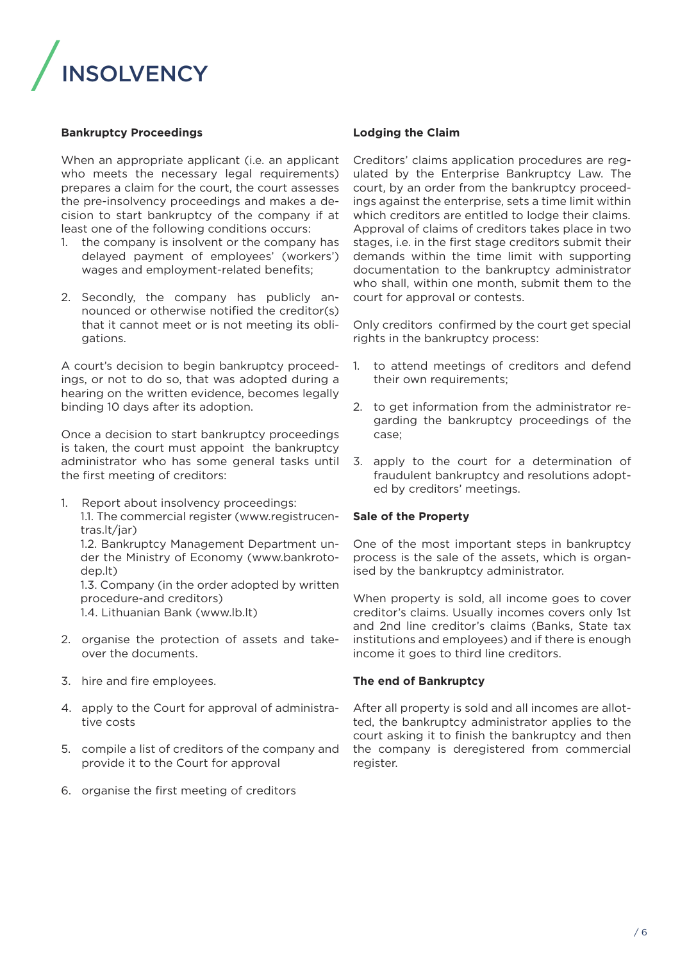

#### **Bankruptcy Proceedings**

When an appropriate applicant (i.e. an applicant who meets the necessary legal requirements) prepares a claim for the court, the court assesses the pre-insolvency proceedings and makes a decision to start bankruptcy of the company if at least one of the following conditions occurs:

- 1. the company is insolvent or the company has delayed payment of employees' (workers') wages and employment-related benefits;
- 2. Secondly, the company has publicly announced or otherwise notified the creditor(s) that it cannot meet or is not meeting its obligations.

A court's decision to begin bankruptcy proceedings, or not to do so, that was adopted during a hearing on the written evidence, becomes legally binding 10 days after its adoption.

Once a decision to start bankruptcy proceedings is taken, the court must appoint the bankruptcy administrator who has some general tasks until the first meeting of creditors:

1. Report about insolvency proceedings: 1.1. The commercial register (www.registrucentras.lt/jar) 1.2. Bankruptcy Management Department under the Ministry of Economy (www.bankroto-

dep.lt) 1.3. Company (in the order adopted by written procedure-and creditors) 1.4. Lithuanian Bank (www.lb.lt)

- 2. organise the protection of assets and takeover the documents.
- 3. hire and fire employees.
- 4. apply to the Court for approval of administrative costs
- 5. compile a list of creditors of the company and provide it to the Court for approval
- 6. organise the first meeting of creditors

#### **Lodging the Claim**

Creditors' claims application procedures are regulated by the Enterprise Bankruptcy Law. The court, by an order from the bankruptcy proceedings against the enterprise, sets a time limit within which creditors are entitled to lodge their claims. Approval of claims of creditors takes place in two stages, i.e. in the first stage creditors submit their demands within the time limit with supporting documentation to the bankruptcy administrator who shall, within one month, submit them to the court for approval or contests.

Only creditors confirmed by the court get special rights in the bankruptcy process:

- 1. to attend meetings of creditors and defend their own requirements;
- 2. to get information from the administrator regarding the bankruptcy proceedings of the case;
- 3. apply to the court for a determination of fraudulent bankruptcy and resolutions adopted by creditors' meetings.

#### **Sale of the Property**

One of the most important steps in bankruptcy process is the sale of the assets, which is organised by the bankruptcy administrator.

When property is sold, all income goes to cover creditor's claims. Usually incomes covers only 1st and 2nd line creditor's claims (Banks, State tax institutions and employees) and if there is enough income it goes to third line creditors.

#### **The end of Bankruptcy**

After all property is sold and all incomes are allotted, the bankruptcy administrator applies to the court asking it to finish the bankruptcy and then the company is deregistered from commercial register.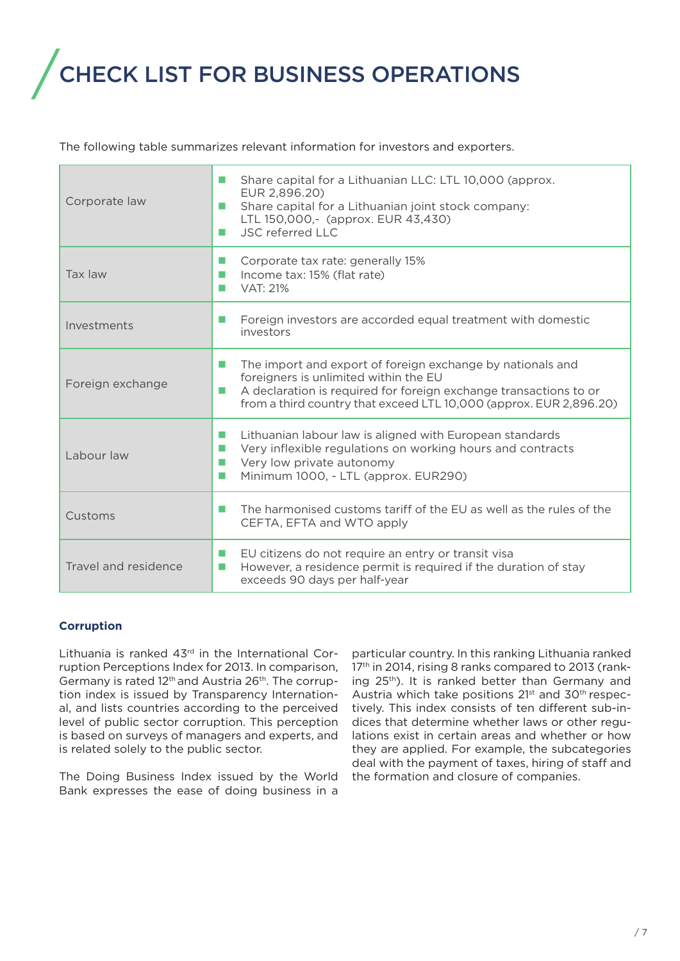### / CHECK LIST FOR BUSINESS OPERATIONS

The following table summarizes relevant information for investors and exporters.

| Corporate law        | Share capital for a Lithuanian LLC: LTL 10,000 (approx.<br>ш<br>EUR 2,896.20)<br>Share capital for a Lithuanian joint stock company:<br>ш<br>LTL 150,000,- (approx. EUR 43,430)<br><b>JSC referred LLC</b><br>ш                                          |
|----------------------|----------------------------------------------------------------------------------------------------------------------------------------------------------------------------------------------------------------------------------------------------------|
| Tax law              | Corporate tax rate: generally 15%<br>Income tax: 15% (flat rate)<br>ш<br><b>VAT: 21%</b>                                                                                                                                                                 |
| Investments          | Foreign investors are accorded equal treatment with domestic<br>ш<br>investors                                                                                                                                                                           |
| Foreign exchange     | The import and export of foreign exchange by nationals and<br>ш<br>foreigners is unlimited within the EU<br>A declaration is required for foreign exchange transactions to or<br>ш<br>from a third country that exceed LTL 10,000 (approx. EUR 2,896.20) |
| Labour law           | Lithuanian labour law is aligned with European standards<br>ш<br>Very inflexible regulations on working hours and contracts<br>Very low private autonomy<br>ш<br>Minimum 1000, - LTL (approx. EUR290)<br>m.                                              |
| Customs              | The harmonised customs tariff of the EU as well as the rules of the<br>m.<br>CEFTA, EFTA and WTO apply                                                                                                                                                   |
| Travel and residence | EU citizens do not require an entry or transit visa<br>ш<br>However, a residence permit is required if the duration of stay<br>ш<br>exceeds 90 days per half-year                                                                                        |

#### **Corruption**

Lithuania is ranked  $43<sup>rd</sup>$  in the International Corruption Perceptions Index for 2013. In comparison, Germany is rated 12th and Austria 26th. The corruption index is issued by Transparency International, and lists countries according to the perceived level of public sector corruption. This perception is based on surveys of managers and experts, and is related solely to the public sector.

The Doing Business Index issued by the World Bank expresses the ease of doing business in a

particular country. In this ranking Lithuania ranked 17<sup>th</sup> in 2014, rising 8 ranks compared to 2013 (ranking 25<sup>th</sup>). It is ranked better than Germany and Austria which take positions 21<sup>st</sup> and 30<sup>th</sup> respectively. This index consists of ten different sub-indices that determine whether laws or other regulations exist in certain areas and whether or how they are applied. For example, the subcategories deal with the payment of taxes, hiring of staff and the formation and closure of companies.